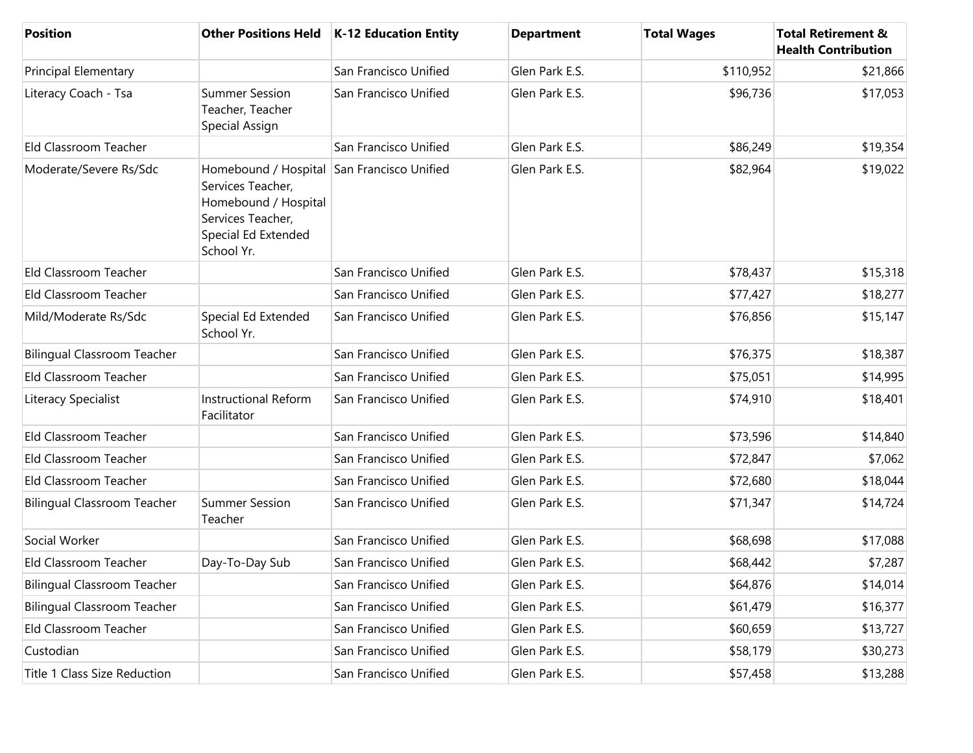| <b>Position</b>                    |                                                                                                                                                   | Other Positions Held   K-12 Education Entity | <b>Department</b> | <b>Total Wages</b> | <b>Total Retirement &amp;</b><br><b>Health Contribution</b> |
|------------------------------------|---------------------------------------------------------------------------------------------------------------------------------------------------|----------------------------------------------|-------------------|--------------------|-------------------------------------------------------------|
| <b>Principal Elementary</b>        |                                                                                                                                                   | San Francisco Unified                        | Glen Park E.S.    | \$110,952          | \$21,866                                                    |
| Literacy Coach - Tsa               | <b>Summer Session</b><br>Teacher, Teacher<br>Special Assign                                                                                       | San Francisco Unified                        | Glen Park E.S.    | \$96,736           | \$17,053                                                    |
| Eld Classroom Teacher              |                                                                                                                                                   | San Francisco Unified                        | Glen Park E.S.    | \$86,249           | \$19,354                                                    |
| Moderate/Severe Rs/Sdc             | Homebound / Hospital San Francisco Unified<br>Services Teacher,<br>Homebound / Hospital<br>Services Teacher,<br>Special Ed Extended<br>School Yr. |                                              | Glen Park E.S.    | \$82,964           | \$19,022                                                    |
| Eld Classroom Teacher              |                                                                                                                                                   | San Francisco Unified                        | Glen Park E.S.    | \$78,437           | \$15,318                                                    |
| Eld Classroom Teacher              |                                                                                                                                                   | San Francisco Unified                        | Glen Park E.S.    | \$77,427           | \$18,277                                                    |
| Mild/Moderate Rs/Sdc               | Special Ed Extended<br>School Yr.                                                                                                                 | San Francisco Unified                        | Glen Park E.S.    | \$76,856           | \$15,147                                                    |
| <b>Bilingual Classroom Teacher</b> |                                                                                                                                                   | San Francisco Unified                        | Glen Park E.S.    | \$76,375           | \$18,387                                                    |
| Eld Classroom Teacher              |                                                                                                                                                   | San Francisco Unified                        | Glen Park E.S.    | \$75,051           | \$14,995                                                    |
| Literacy Specialist                | <b>Instructional Reform</b><br>Facilitator                                                                                                        | San Francisco Unified                        | Glen Park E.S.    | \$74,910           | \$18,401                                                    |
| Eld Classroom Teacher              |                                                                                                                                                   | San Francisco Unified                        | Glen Park E.S.    | \$73,596           | \$14,840                                                    |
| Eld Classroom Teacher              |                                                                                                                                                   | San Francisco Unified                        | Glen Park E.S.    | \$72,847           | \$7,062                                                     |
| Eld Classroom Teacher              |                                                                                                                                                   | San Francisco Unified                        | Glen Park E.S.    | \$72,680           | \$18,044                                                    |
| <b>Bilingual Classroom Teacher</b> | <b>Summer Session</b><br>Teacher                                                                                                                  | San Francisco Unified                        | Glen Park E.S.    | \$71,347           | \$14,724                                                    |
| Social Worker                      |                                                                                                                                                   | San Francisco Unified                        | Glen Park E.S.    | \$68,698           | \$17,088                                                    |
| Eld Classroom Teacher              | Day-To-Day Sub                                                                                                                                    | San Francisco Unified                        | Glen Park E.S.    | \$68,442           | \$7,287                                                     |
| <b>Bilingual Classroom Teacher</b> |                                                                                                                                                   | San Francisco Unified                        | Glen Park E.S.    | \$64,876           | \$14,014                                                    |
| <b>Bilingual Classroom Teacher</b> |                                                                                                                                                   | San Francisco Unified                        | Glen Park E.S.    | \$61,479           | \$16,377                                                    |
| Eld Classroom Teacher              |                                                                                                                                                   | San Francisco Unified                        | Glen Park E.S.    | \$60,659           | \$13,727                                                    |
| Custodian                          |                                                                                                                                                   | San Francisco Unified                        | Glen Park E.S.    | \$58,179           | \$30,273                                                    |
| Title 1 Class Size Reduction       |                                                                                                                                                   | San Francisco Unified                        | Glen Park E.S.    | \$57,458           | \$13,288                                                    |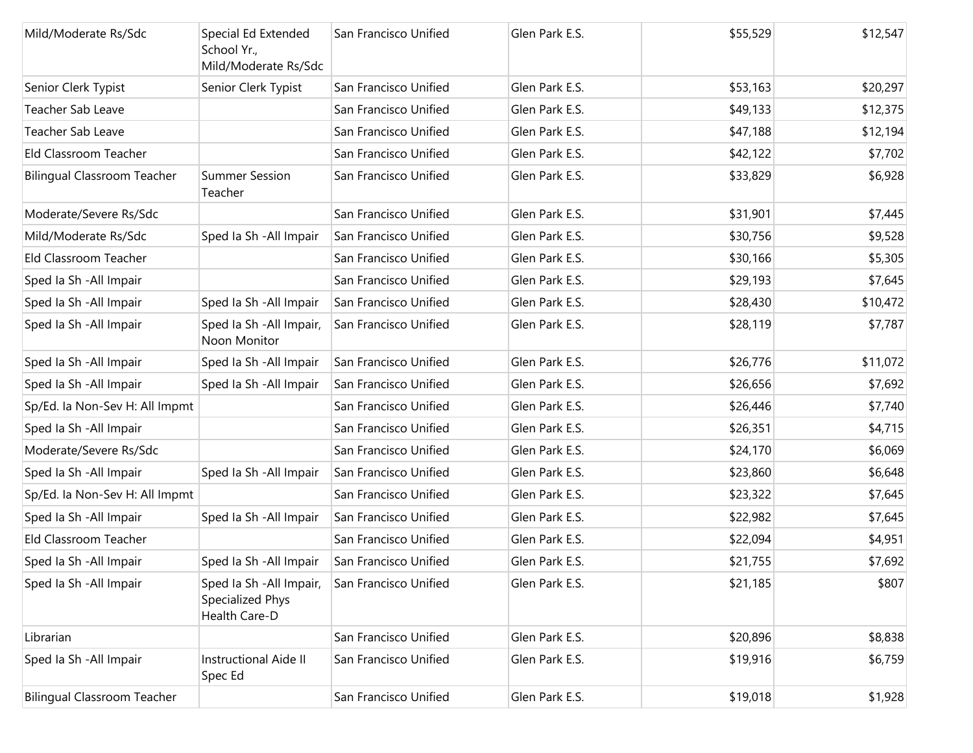| Mild/Moderate Rs/Sdc               | Special Ed Extended<br>School Yr.,<br>Mild/Moderate Rs/Sdc    | San Francisco Unified | Glen Park E.S. | \$55,529 | \$12,547 |
|------------------------------------|---------------------------------------------------------------|-----------------------|----------------|----------|----------|
| Senior Clerk Typist                | Senior Clerk Typist                                           | San Francisco Unified | Glen Park E.S. | \$53,163 | \$20,297 |
| Teacher Sab Leave                  |                                                               | San Francisco Unified | Glen Park E.S. | \$49,133 | \$12,375 |
| Teacher Sab Leave                  |                                                               | San Francisco Unified | Glen Park E.S. | \$47,188 | \$12,194 |
| Eld Classroom Teacher              |                                                               | San Francisco Unified | Glen Park E.S. | \$42,122 | \$7,702  |
| <b>Bilingual Classroom Teacher</b> | <b>Summer Session</b><br>Teacher                              | San Francisco Unified | Glen Park E.S. | \$33,829 | \$6,928  |
| Moderate/Severe Rs/Sdc             |                                                               | San Francisco Unified | Glen Park E.S. | \$31,901 | \$7,445  |
| Mild/Moderate Rs/Sdc               | Sped Ia Sh - All Impair                                       | San Francisco Unified | Glen Park E.S. | \$30,756 | \$9,528  |
| Eld Classroom Teacher              |                                                               | San Francisco Unified | Glen Park E.S. | \$30,166 | \$5,305  |
| Sped Ia Sh - All Impair            |                                                               | San Francisco Unified | Glen Park E.S. | \$29,193 | \$7,645  |
| Sped Ia Sh - All Impair            | Sped Ia Sh - All Impair                                       | San Francisco Unified | Glen Park E.S. | \$28,430 | \$10,472 |
| Sped Ia Sh - All Impair            | Sped Ia Sh - All Impair,<br>Noon Monitor                      | San Francisco Unified | Glen Park E.S. | \$28,119 | \$7,787  |
| Sped Ia Sh - All Impair            | Sped Ia Sh - All Impair                                       | San Francisco Unified | Glen Park E.S. | \$26,776 | \$11,072 |
| Sped Ia Sh - All Impair            | Sped Ia Sh - All Impair                                       | San Francisco Unified | Glen Park E.S. | \$26,656 | \$7,692  |
| Sp/Ed. la Non-Sev H: All Impmt     |                                                               | San Francisco Unified | Glen Park E.S. | \$26,446 | \$7,740  |
| Sped Ia Sh - All Impair            |                                                               | San Francisco Unified | Glen Park E.S. | \$26,351 | \$4,715  |
| Moderate/Severe Rs/Sdc             |                                                               | San Francisco Unified | Glen Park E.S. | \$24,170 | \$6,069  |
| Sped Ia Sh - All Impair            | Sped Ia Sh - All Impair                                       | San Francisco Unified | Glen Park E.S. | \$23,860 | \$6,648  |
| Sp/Ed. la Non-Sev H: All Impmt     |                                                               | San Francisco Unified | Glen Park E.S. | \$23,322 | \$7,645  |
| Sped Ia Sh - All Impair            | Sped Ia Sh - All Impair                                       | San Francisco Unified | Glen Park E.S. | \$22,982 | \$7,645  |
| Eld Classroom Teacher              |                                                               | San Francisco Unified | Glen Park E.S. | \$22,094 | \$4,951  |
| Sped Ia Sh - All Impair            | Sped Ia Sh - All Impair                                       | San Francisco Unified | Glen Park E.S. | \$21,755 | \$7,692  |
| Sped Ia Sh - All Impair            | Sped Ia Sh - All Impair,<br>Specialized Phys<br>Health Care-D | San Francisco Unified | Glen Park E.S. | \$21,185 | \$807    |
| Librarian                          |                                                               | San Francisco Unified | Glen Park E.S. | \$20,896 | \$8,838  |
| Sped Ia Sh - All Impair            | Instructional Aide II<br>Spec Ed                              | San Francisco Unified | Glen Park E.S. | \$19,916 | \$6,759  |
| <b>Bilingual Classroom Teacher</b> |                                                               | San Francisco Unified | Glen Park E.S. | \$19,018 | \$1,928  |